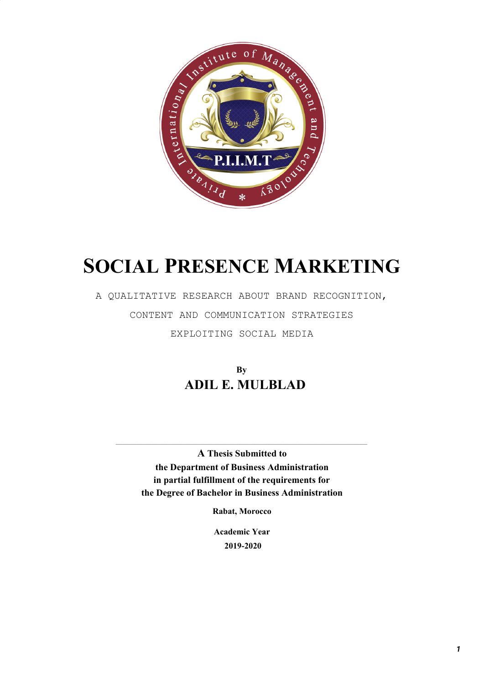

# **SOCIAL PRESENCE MARKETING**

A QUALITATIVE RESEARCH ABOUT BRAND RECOGNITION, CONTENT AND COMMUNICATION STRATEGIES EXPLOITING SOCIAL MEDIA

> **By ADIL E. MULBLAD**

**A Thesis Submitted to the Department of Business Administration in partial fulfillment of the requirements for the Degree of Bachelor in Business Administration**

**Rabat, Morocco**

**Academic Year 2019-2020**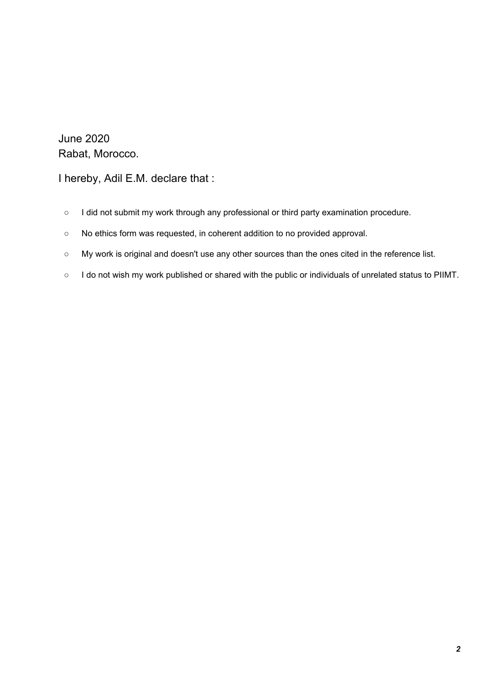#### June 2020 Rabat, Morocco.

#### I hereby, Adil E.M. declare that :

- I did not submit my work through any professional or third party examination procedure.
- No ethics form was requested, in coherent addition to no provided approval.
- My work is original and doesn't use any other sources than the ones cited in the reference list.
- I do not wish my work published or shared with the public or individuals of unrelated status to PIIMT.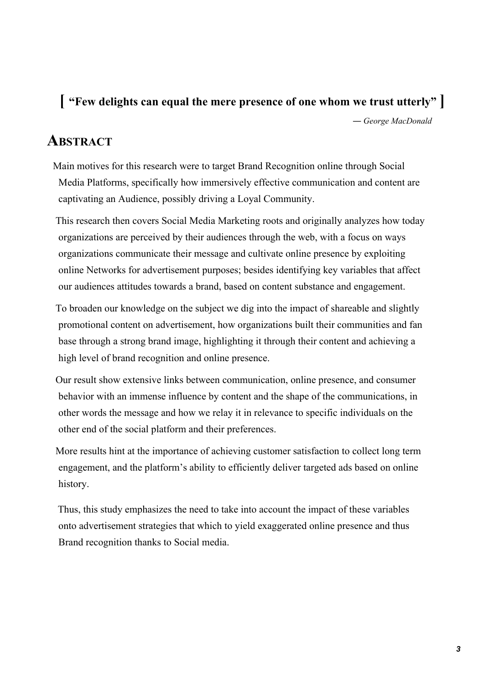#### **[ "Few delights can equal the mere presence of one whom we trust utterly" ]**

*― George MacDonald*

# **ABSTRACT**

Main motives for this research were to target Brand Recognition online through Social Media Platforms, specifically how immersively effective communication and content are captivating an Audience, possibly driving a Loyal Community.

This research then covers Social Media Marketing roots and originally analyzes how today organizations are perceived by their audiences through the web, with a focus on ways organizations communicate their message and cultivate online presence by exploiting online Networks for advertisement purposes; besides identifying key variables that affect our audiences attitudes towards a brand, based on content substance and engagement.

To broaden our knowledge on the subject we dig into the impact of shareable and slightly promotional content on advertisement, how organizations built their communities and fan base through a strong brand image, highlighting it through their content and achieving a high level of brand recognition and online presence.

Our result show extensive links between communication, online presence, and consumer behavior with an immense influence by content and the shape of the communications, in other words the message and how we relay it in relevance to specific individuals on the other end of the social platform and their preferences.

More results hint at the importance of achieving customer satisfaction to collect long term engagement, and the platform's ability to efficiently deliver targeted ads based on online history.

Thus, this study emphasizes the need to take into account the impact of these variables onto advertisement strategies that which to yield exaggerated online presence and thus Brand recognition thanks to Social media.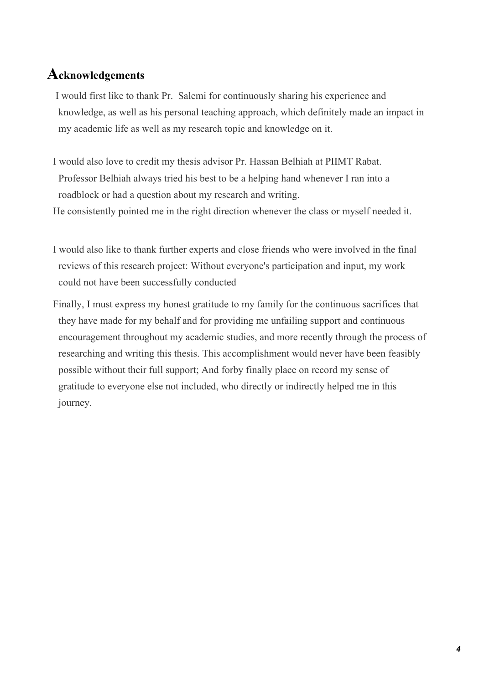### **Acknowledgements**

I would first like to thank Pr. Salemi for continuously sharing his experience and knowledge, as well as his personal teaching approach, which definitely made an impact in my academic life as well as my research topic and knowledge on it.

- I would also love to credit my thesis advisor Pr. Hassan Belhiah at PIIMT Rabat. Professor Belhiah always tried his best to be a helping hand whenever I ran into a roadblock or had a question about my research and writing. He consistently pointed me in the right direction whenever the class or myself needed it.
- I would also like to thank further experts and close friends who were involved in the final reviews of this research project: Without everyone's participation and input, my work could not have been successfully conducted
- Finally, I must express my honest gratitude to my family for the continuous sacrifices that they have made for my behalf and for providing me unfailing support and continuous encouragement throughout my academic studies, and more recently through the process of researching and writing this thesis. This accomplishment would never have been feasibly possible without their full support; And forby finally place on record my sense of gratitude to everyone else not included, who directly or indirectly helped me in this journey.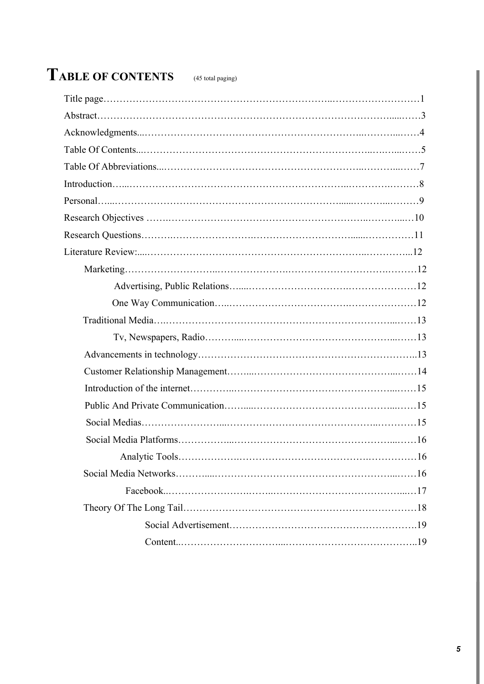# **TABLE OF CONTENTS** (45 total paging)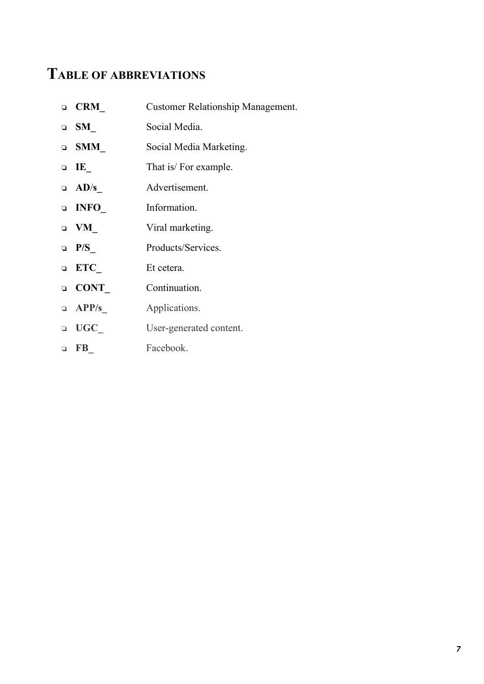# **TABLE OF ABBREVIATIONS**

|    | $\Box$ CRM         | <b>Customer Relationship Management.</b> |
|----|--------------------|------------------------------------------|
|    | $\Box$ SM          | Social Media.                            |
|    | $\Box$ SMM         | Social Media Marketing.                  |
|    | $\Box$ IE          | That is/ For example.                    |
|    | $\Box$ AD/s        | Advertisement.                           |
|    | $\Box$ INFO        | Information.                             |
|    | $\Box$ VM          | Viral marketing.                         |
|    | $\Box$ P/S         | Products/Services.                       |
|    | $\blacksquare$ ETC | Et cetera.                               |
|    | <b>Q</b> CONT      | Continuation.                            |
|    | $\Box$ APP/s       | Applications.                            |
|    | $\blacksquare$ UGC | User-generated content.                  |
| O. | FB                 | Facebook.                                |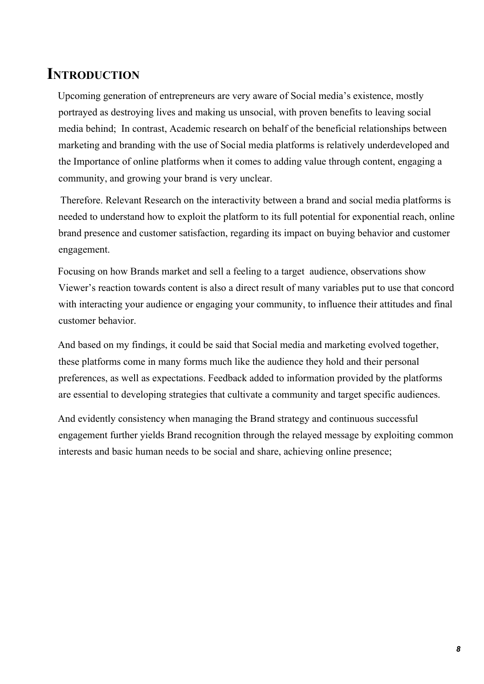# **INTRODUCTION**

Upcoming generation of entrepreneurs are very aware of Social media's existence, mostly portrayed as destroying lives and making us unsocial, with proven benefits to leaving social media behind; In contrast, Academic research on behalf of the beneficial relationships between marketing and branding with the use of Social media platforms is relatively underdeveloped and the Importance of online platforms when it comes to adding value through content, engaging a community, and growing your brand is very unclear.

Therefore. Relevant Research on the interactivity between a brand and social media platforms is needed to understand how to exploit the platform to its full potential for exponential reach, online brand presence and customer satisfaction, regarding its impact on buying behavior and customer engagement.

Focusing on how Brands market and sell a feeling to a target audience, observations show Viewer's reaction towards content is also a direct result of many variables put to use that concord with interacting your audience or engaging your community, to influence their attitudes and final customer behavior.

And based on my findings, it could be said that Social media and marketing evolved together, these platforms come in many forms much like the audience they hold and their personal preferences, as well as expectations. Feedback added to information provided by the platforms are essential to developing strategies that cultivate a community and target specific audiences.

And evidently consistency when managing the Brand strategy and continuous successful engagement further yields Brand recognition through the relayed message by exploiting common interests and basic human needs to be social and share, achieving online presence;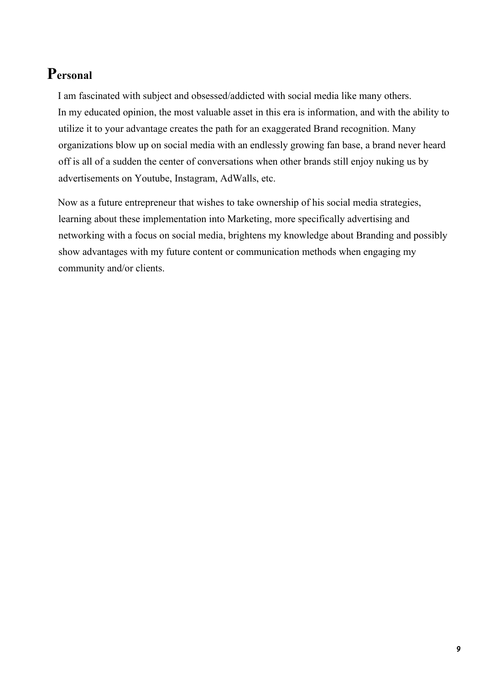### **Personal**

I am fascinated with subject and obsessed/addicted with social media like many others. In my educated opinion, the most valuable asset in this era is information, and with the ability to utilize it to your advantage creates the path for an exaggerated Brand recognition. Many organizations blow up on social media with an endlessly growing fan base, a brand never heard off is all of a sudden the center of conversations when other brands still enjoy nuking us by advertisements on Youtube, Instagram, AdWalls, etc.

Now as a future entrepreneur that wishes to take ownership of his social media strategies, learning about these implementation into Marketing, more specifically advertising and networking with a focus on social media, brightens my knowledge about Branding and possibly show advantages with my future content or communication methods when engaging my community and/or clients.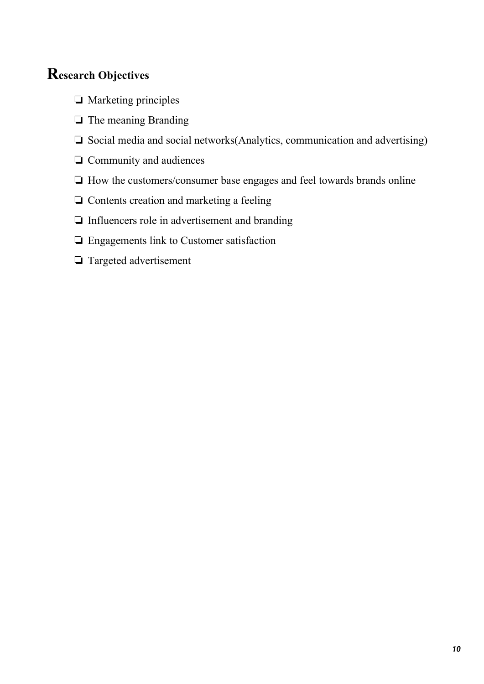### **Research Objectives**

- ❏ Marketing principles
- ❏ The meaning Branding
- ❏ Social media and social networks(Analytics, communication and advertising)
- ❏ Community and audiences
- ❏ How the customers/consumer base engages and feel towards brands online
- ❏ Contents creation and marketing a feeling
- ❏ Influencers role in advertisement and branding
- ❏ Engagements link to Customer satisfaction
- ❏ Targeted advertisement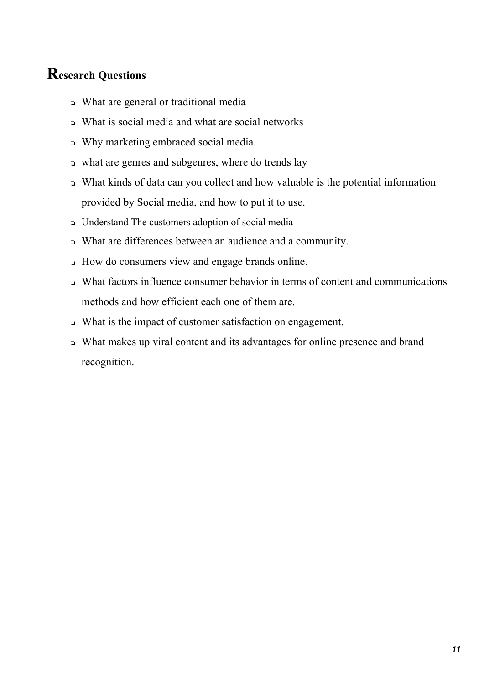### **Research Questions**

- ❏ What are general or traditional media
- ❏ What is social media and what are social networks
- ❏ Why marketing embraced social media.
- ❏ what are genres and subgenres, where do trends lay
- ❏ What kinds of data can you collect and how valuable is the potential information provided by Social media, and how to put it to use.
- ❏ Understand The customers adoption of social media
- ❏ What are differences between an audience and a community.
- ❏ How do consumers view and engage brands online.
- ❏ What factors influence consumer behavior in terms of content and communications methods and how efficient each one of them are.
- ❏ What is the impact of customer satisfaction on engagement.
- ❏ What makes up viral content and its advantages for online presence and brand recognition.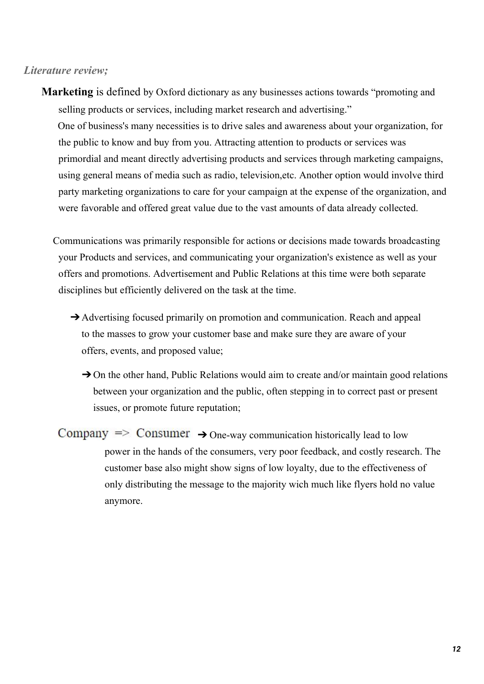#### *Literature review;*

**Marketing** is defined by Oxford dictionary as any businesses actions towards "promoting and selling products or services, including market research and advertising."

One of business's many necessities is to drive sales and awareness about your organization, for the public to know and buy from you. Attracting attention to products or services was primordial and meant directly advertising products and services through marketing campaigns, using general means of media such as radio, television,etc. Another option would involve third party marketing organizations to care for your campaign at the expense of the organization, and were favorable and offered great value due to the vast amounts of data already collected.

Communications was primarily responsible for actions or decisions made towards broadcasting your Products and services, and communicating your organization's existence as well as your offers and promotions. Advertisement and Public Relations at this time were both separate disciplines but efficiently delivered on the task at the time.

- **→** Advertising focused primarily on promotion and communication. Reach and appeal to the masses to grow your customer base and make sure they are aware of your offers, events, and proposed value;
	- **→** On the other hand, Public Relations would aim to create and/or maintain good relations between your organization and the public, often stepping in to correct past or present issues, or promote future reputation;

Company  $\Rightarrow$  Consumer  $\rightarrow$  One-way communication historically lead to low power in the hands of the consumers, very poor feedback, and costly research. The customer base also might show signs of low loyalty, due to the effectiveness of only distributing the message to the majority wich much like flyers hold no value anymore.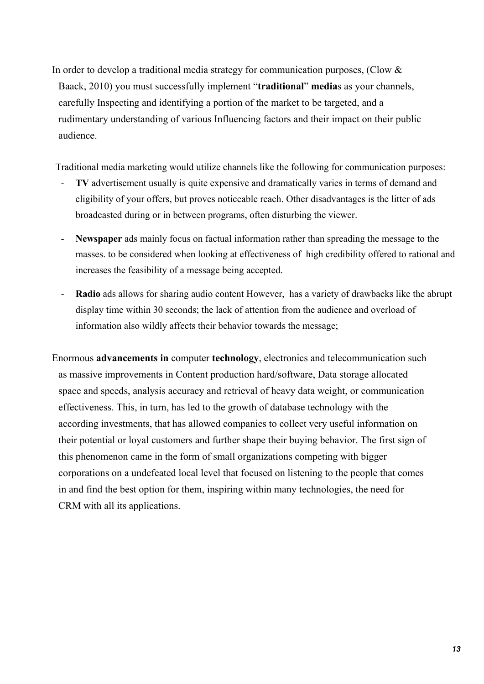In order to develop a traditional media strategy for communication purposes, (Clow  $\&$ Baack, 2010) you must successfully implement "**traditional**" **media**s as your channels, carefully Inspecting and identifying a portion of the market to be targeted, and a rudimentary understanding of various Influencing factors and their impact on their public audience.

Traditional media marketing would utilize channels like the following for communication purposes:

- **TV** advertisement usually is quite expensive and dramatically varies in terms of demand and eligibility of your offers, but proves noticeable reach. Other disadvantages is the litter of ads broadcasted during or in between programs, often disturbing the viewer.
- **Newspaper** ads mainly focus on factual information rather than spreading the message to the masses. to be considered when looking at effectiveness of high credibility offered to rational and increases the feasibility of a message being accepted.
- **Radio** ads allows for sharing audio content However, has a variety of drawbacks like the abrupt display time within 30 seconds; the lack of attention from the audience and overload of information also wildly affects their behavior towards the message;

Enormous **advancements in** computer **technology**, electronics and telecommunication such as massive improvements in Content production hard/software, Data storage allocated space and speeds, analysis accuracy and retrieval of heavy data weight, or communication effectiveness. This, in turn, has led to the growth of database technology with the according investments, that has allowed companies to collect very useful information on their potential or loyal customers and further shape their buying behavior. The first sign of this phenomenon came in the form of small organizations competing with bigger corporations on a undefeated local level that focused on listening to the people that comes in and find the best option for them, inspiring within many technologies, the need for CRM with all its applications.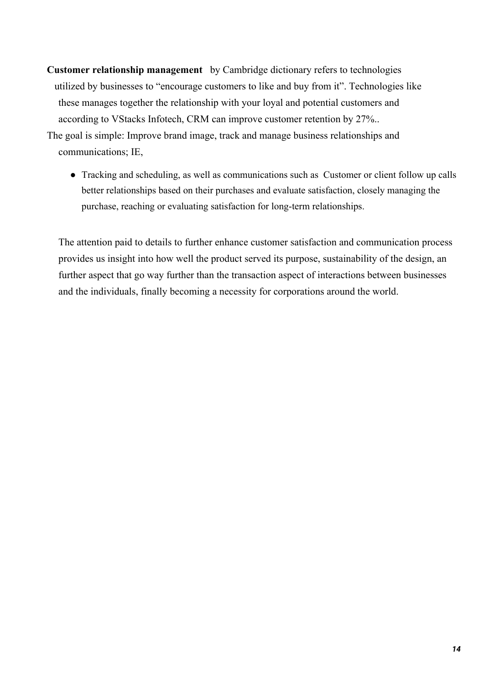- **Customer relationship management** by Cambridge dictionary refers to technologies utilized by businesses to "encourage customers to like and buy from it". Technologies like these manages together the relationship with your loyal and potential customers and according to VStacks Infotech, CRM can improve customer retention by 27%..
- The goal is simple: Improve brand image, track and manage business relationships and communications; IE,
	- Tracking and scheduling, as well as communications such as Customer or client follow up calls better relationships based on their purchases and evaluate satisfaction, closely managing the purchase, reaching or evaluating satisfaction for long-term relationships.

The attention paid to details to further enhance customer satisfaction and communication process provides us insight into how well the product served its purpose, sustainability of the design, an further aspect that go way further than the transaction aspect of interactions between businesses and the individuals, finally becoming a necessity for corporations around the world.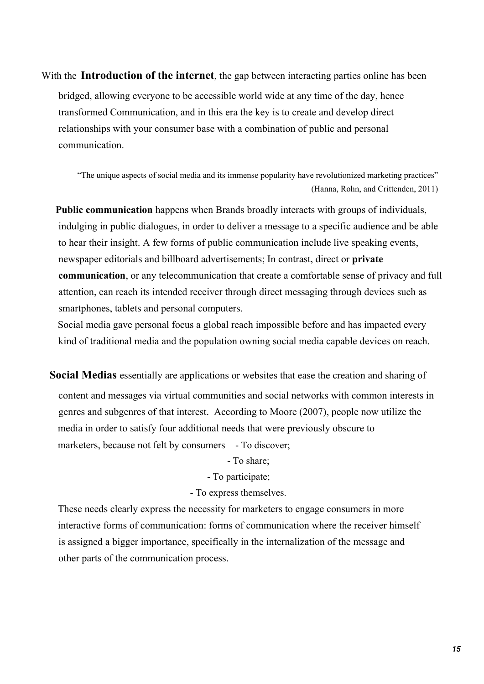With the **Introduction of the internet**, the gap between interacting parties online has been bridged, allowing everyone to be accessible world wide at any time of the day, hence transformed Communication, and in this era the key is to create and develop direct relationships with your consumer base with a combination of public and personal communication.

"The unique aspects of social media and its immense popularity have revolutionized marketing practices" (Hanna, Rohn, and Crittenden, 2011)

**Public communication** happens when Brands broadly interacts with groups of individuals, indulging in public dialogues, in order to deliver a message to a specific audience and be able to hear their insight. A few forms of public communication include live speaking events, newspaper editorials and billboard advertisements; In contrast, direct or **private communication**, or any telecommunication that create a comfortable sense of privacy and full attention, can reach its intended receiver through direct messaging through devices such as smartphones, tablets and personal computers.

Social media gave personal focus a global reach impossible before and has impacted every kind of traditional media and the population owning social media capable devices on reach.

**Social Medias** essentially are applications or websites that ease the creation and sharing of content and messages via virtual communities and social networks with common interests in genres and subgenres of that interest. According to Moore (2007), people now utilize the media in order to satisfy four additional needs that were previously obscure to marketers, because not felt by consumers - To discover;

- To share;

- To participate;

- To express themselves.

These needs clearly express the necessity for marketers to engage consumers in more interactive forms of communication: forms of communication where the receiver himself is assigned a bigger importance, specifically in the internalization of the message and other parts of the communication process.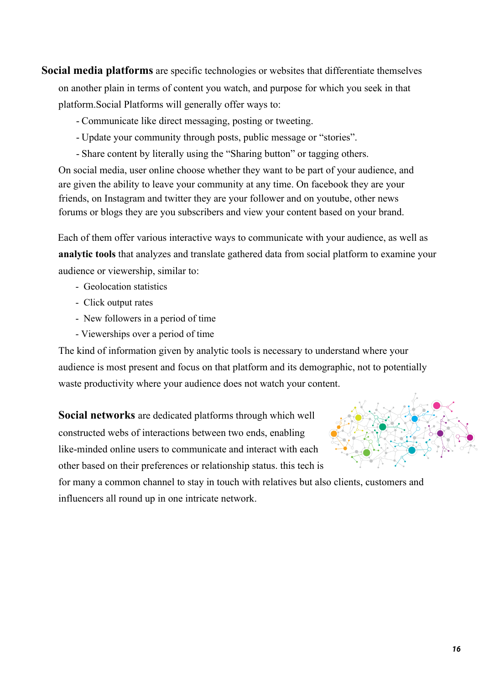- **Social media platforms** are specific technologies or websites that differentiate themselves on another plain in terms of content you watch, and purpose for which you seek in that platform.Social Platforms will generally offer ways to:
	- Communicate like direct messaging, posting or tweeting.
	- Update your community through posts, public message or "stories".
	- Share content by literally using the "Sharing button" or tagging others.

On social media, user online choose whether they want to be part of your audience, and are given the ability to leave your community at any time. On facebook they are your friends, on Instagram and twitter they are your follower and on youtube, other news forums or blogs they are you subscribers and view your content based on your brand.

Each of them offer various interactive ways to communicate with your audience, as well as **analytic tools** that analyzes and translate gathered data from social platform to examine your audience or viewership, similar to:

- Geolocation statistics
- Click output rates
- New followers in a period of time
- Viewerships over a period of time

The kind of information given by analytic tools is necessary to understand where your audience is most present and focus on that platform and its demographic, not to potentially waste productivity where your audience does not watch your content.

**Social networks** are dedicated platforms through which well constructed webs of interactions between two ends, enabling like-minded online users to communicate and interact with each other based on their preferences or relationship status. this tech is

for many a common channel to stay in touch with relatives but also clients, customers and influencers all round up in one intricate network.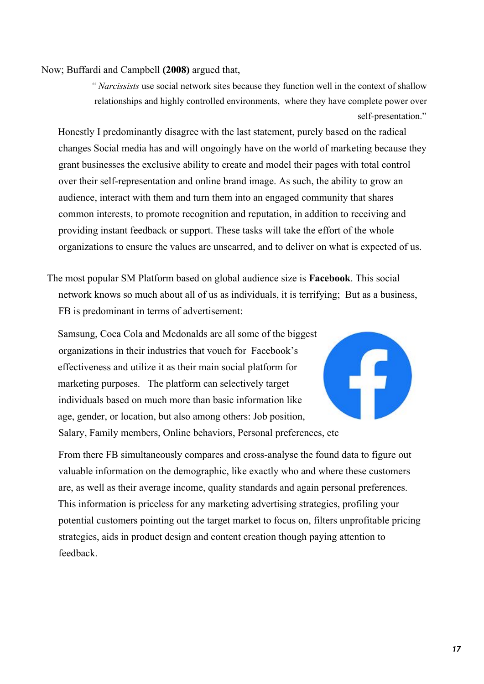#### Now; Buffardi and Campbell **(2008)** argued that,

*" Narcissists* use social network sites because they function well in the context of shallow relationships and highly controlled environments, where they have complete power over self-presentation."

Honestly I predominantly disagree with the last statement, purely based on the radical changes Social media has and will ongoingly have on the world of marketing because they grant businesses the exclusive ability to create and model their pages with total control over their self-representation and online brand image. As such, the ability to grow an audience, interact with them and turn them into an engaged community that shares common interests, to promote recognition and reputation, in addition to receiving and providing instant feedback or support. These tasks will take the effort of the whole organizations to ensure the values are unscarred, and to deliver on what is expected of us.

The most popular SM Platform based on global audience size is **Facebook**. This social network knows so much about all of us as individuals, it is terrifying; But as a business, FB is predominant in terms of advertisement:

Samsung, Coca Cola and Mcdonalds are all some of the biggest organizations in their industries that vouch for Facebook's effectiveness and utilize it as their main social platform for marketing purposes. The platform can selectively target individuals based on much more than basic information like age, gender, or location, but also among others: Job position, Salary, Family members, Online behaviors, Personal preferences, etc



From there FB simultaneously compares and cross-analyse the found data to figure out valuable information on the demographic, like exactly who and where these customers are, as well as their average income, quality standards and again personal preferences. This information is priceless for any marketing advertising strategies, profiling your potential customers pointing out the target market to focus on, filters unprofitable pricing strategies, aids in product design and content creation though paying attention to feedback.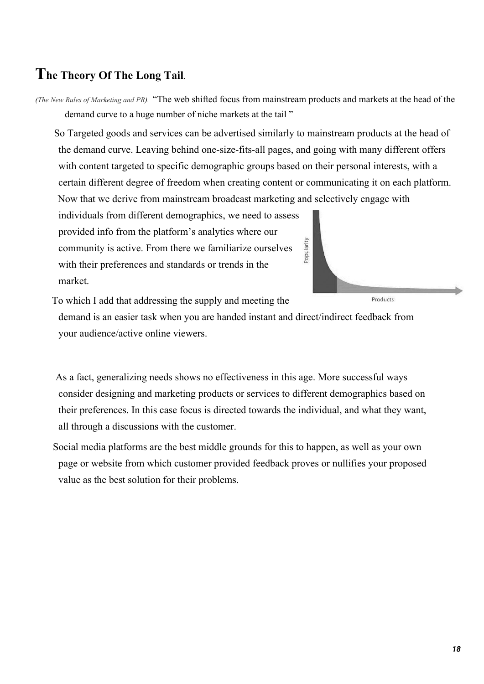### **The Theory Of The Long Tail.**

*(The New Rules of Marketing and PR).* "The web shifted focus from mainstream products and markets at the head of the demand curve to a huge number of niche markets at the tail "

So Targeted goods and services can be advertised similarly to mainstream products at the head of the demand curve. Leaving behind one-size-fits-all pages, and going with many different offers with content targeted to specific demographic groups based on their personal interests, with a certain different degree of freedom when creating content or communicating it on each platform. Now that we derive from mainstream broadcast marketing and selectively engage with

individuals from different demographics, we need to assess provided info from the platform's analytics where our community is active. From there we familiarize ourselves with their preferences and standards or trends in the market.



To which I add that addressing the supply and meeting the

demand is an easier task when you are handed instant and direct/indirect feedback from your audience/active online viewers.

As a fact, generalizing needs shows no effectiveness in this age. More successful ways consider designing and marketing products or services to different demographics based on their preferences. In this case focus is directed towards the individual, and what they want, all through a discussions with the customer.

Social media platforms are the best middle grounds for this to happen, as well as your own page or website from which customer provided feedback proves or nullifies your proposed value as the best solution for their problems.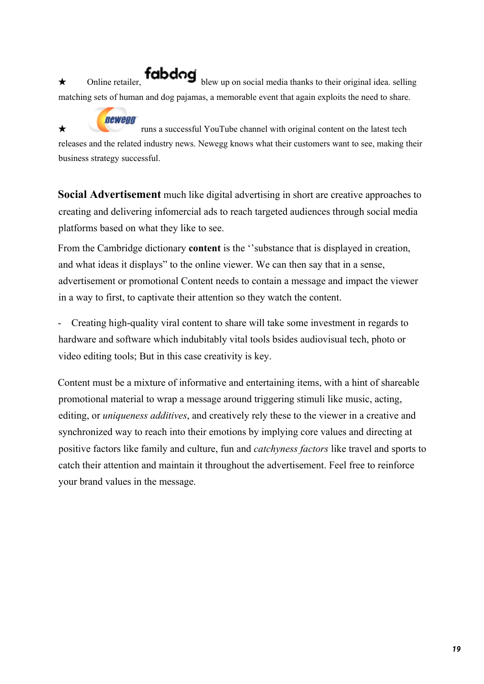$\star$  Online retailer, **fabdog** blew up on social media thanks to their original idea. selling matching sets of human and dog pajamas, a memorable event that again exploits the need to share.

newean ★ runs a successful YouTube channel with original content on the latest tech releases and the related industry news. Newegg knows what their customers want to see, making their business strategy successful.

**Social Advertisement** much like digital advertising in short are creative approaches to creating and delivering infomercial ads to reach targeted audiences through social media platforms based on what they like to see.

From the Cambridge dictionary **content** is the ''substance that is displayed in creation, and what ideas it displays" to the online viewer. We can then say that in a sense, advertisement or promotional Content needs to contain a message and impact the viewer in a way to first, to captivate their attention so they watch the content.

- Creating high-quality viral content to share will take some investment in regards to hardware and software which indubitably vital tools bsides audiovisual tech, photo or video editing tools; But in this case creativity is key.

Content must be a mixture of informative and entertaining items, with a hint of shareable promotional material to wrap a message around triggering stimuli like music, acting, editing, or *uniqueness additives*, and creatively rely these to the viewer in a creative and synchronized way to reach into their emotions by implying core values and directing at positive factors like family and culture, fun and *catchyness factors* like travel and sports to catch their attention and maintain it throughout the advertisement. Feel free to reinforce your brand values in the message.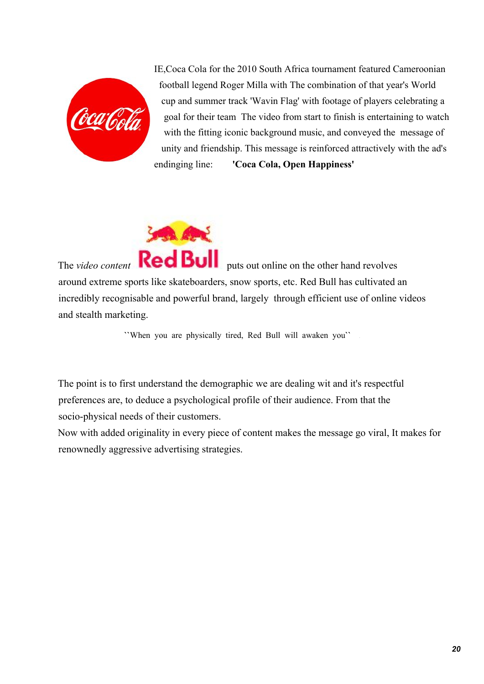

IE,Coca Cola for the 2010 South Africa tournament featured Cameroonian football legend Roger Milla with The combination of that year's World cup and summer track 'Wavin Flag' with footage of players celebrating a goal for their team The video from start to finish is entertaining to watch with the fitting iconic background music, and conveyed the message of unity and friendship. This message is reinforced attractively with the ad's endinging line: **'Coca Cola, Open Happiness'**



The *video content* **Red Bull** puts out online on the other hand revolves around extreme sports like skateboarders, snow sports, etc. Red Bull has cultivated an incredibly recognisable and powerful brand, largely through efficient use of online videos and stealth marketing.

**``**When you are physically tired, Red Bull will awaken you**`` .**

The point is to first understand the demographic we are dealing wit and it's respectful preferences are, to deduce a psychological profile of their audience. From that the socio-physical needs of their customers.

Now with added originality in every piece of content makes the message go viral, It makes for renownedly aggressive advertising strategies.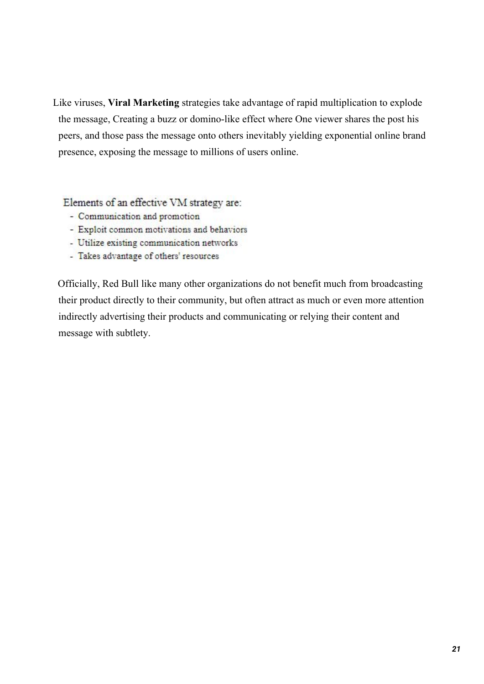Like viruses, **Viral Marketing** strategies take advantage of rapid multiplication to explode the message, Creating a buzz or domino-like effect where One viewer shares the post his peers, and those pass the message onto others inevitably yielding exponential online brand presence, exposing the message to millions of users online.

Elements of an effective VM strategy are:

- Communication and promotion
- Exploit common motivations and behaviors
- Utilize existing communication networks
- Takes advantage of others' resources

Officially, Red Bull like many other organizations do not benefit much from broadcasting their product directly to their community, but often attract as much or even more attention indirectly advertising their products and communicating or relying their content and message with subtlety.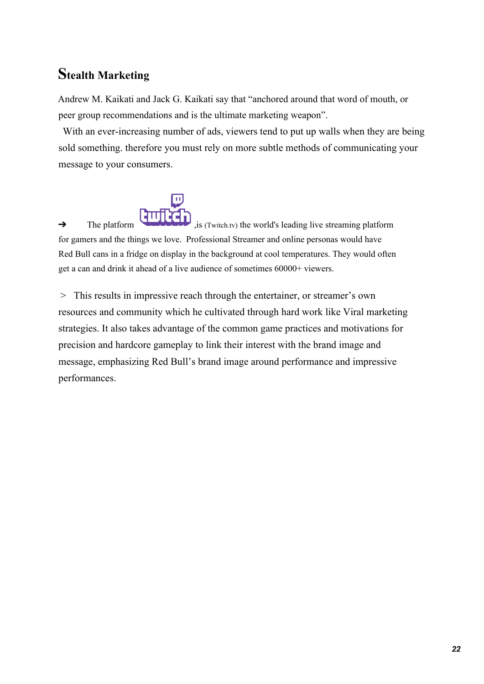### **Stealth Marketing**

Andrew M. Kaikati and Jack G. Kaikati say that "anchored around that word of mouth, or peer group recommendations and is the ultimate marketing weapon".

 With an ever-increasing number of ads, viewers tend to put up walls when they are being sold something. therefore you must rely on more subtle methods of communicating your message to your consumers.



 $\rightarrow$  The platform  $\Box$  The platform  $\Box$  is (Twitch.tv) the world's leading live streaming platform for gamers and the things we love. Professional Streamer and online personas would have Red Bull cans in a fridge on display in the background at cool temperatures. They would often get a can and drink it ahead of a live audience of sometimes 60000+ viewers.

> This results in impressive reach through the entertainer, or streamer's own resources and community which he cultivated through hard work like Viral marketing strategies. It also takes advantage of the common game practices and motivations for precision and hardcore gameplay to link their interest with the brand image and message, emphasizing Red Bull's brand image around performance and impressive performances.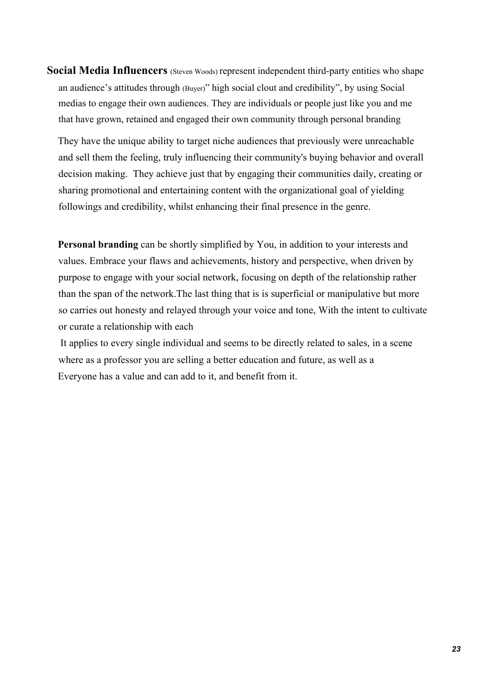**Social Media Influencers** (Steven Woods) represent independent third-party entities who shape an audience's attitudes through (Buyer)" high social clout and credibility", by using Social medias to engage their own audiences. They are individuals or people just like you and me that have grown, retained and engaged their own community through personal branding

They have the unique ability to target niche audiences that previously were unreachable and sell them the feeling, truly influencing their community's buying behavior and overall decision making. They achieve just that by engaging their communities daily, creating or sharing promotional and entertaining content with the organizational goal of yielding followings and credibility, whilst enhancing their final presence in the genre.

**Personal branding** can be shortly simplified by You, in addition to your interests and values. Embrace your flaws and achievements, history and perspective, when driven by purpose to engage with your social network, focusing on depth of the relationship rather than the span of the network.The last thing that is is superficial or manipulative but more so carries out honesty and relayed through your voice and tone, With the intent to cultivate or curate a relationship with each

It applies to every single individual and seems to be directly related to sales, in a scene where as a professor you are selling a better education and future, as well as a Everyone has a value and can add to it, and benefit from it.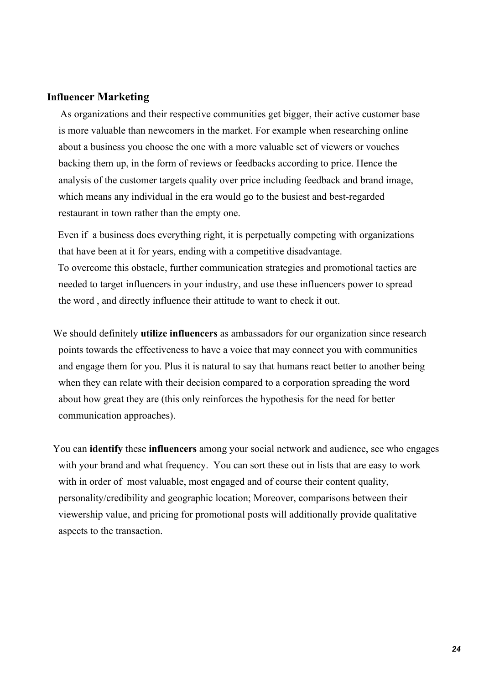#### **Influencer Marketing**

As organizations and their respective communities get bigger, their active customer base is more valuable than newcomers in the market. For example when researching online about a business you choose the one with a more valuable set of viewers or vouches backing them up, in the form of reviews or feedbacks according to price. Hence the analysis of the customer targets quality over price including feedback and brand image, which means any individual in the era would go to the busiest and best-regarded restaurant in town rather than the empty one.

Even if a business does everything right, it is perpetually competing with organizations that have been at it for years, ending with a competitive disadvantage. To overcome this obstacle, further communication strategies and promotional tactics are needed to target influencers in your industry, and use these influencers power to spread the word , and directly influence their attitude to want to check it out.

We should definitely **utilize influencers** as ambassadors for our organization since research points towards the effectiveness to have a voice that may connect you with communities and engage them for you. Plus it is natural to say that humans react better to another being when they can relate with their decision compared to a corporation spreading the word about how great they are (this only reinforces the hypothesis for the need for better communication approaches).

You can **identify** these **influencers** among your social network and audience, see who engages with your brand and what frequency. You can sort these out in lists that are easy to work with in order of most valuable, most engaged and of course their content quality, personality/credibility and geographic location; Moreover, comparisons between their viewership value, and pricing for promotional posts will additionally provide qualitative aspects to the transaction.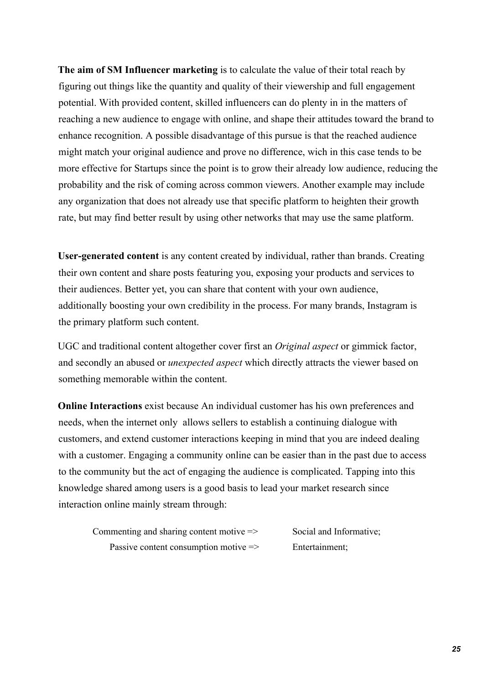**The aim of SM Influencer marketing** is to calculate the value of their total reach by figuring out things like the quantity and quality of their viewership and full engagement potential. With provided content, skilled influencers can do plenty in in the matters of reaching a new audience to engage with online, and shape their attitudes toward the brand to enhance recognition. A possible disadvantage of this pursue is that the reached audience might match your original audience and prove no difference, wich in this case tends to be more effective for Startups since the point is to grow their already low audience, reducing the probability and the risk of coming across common viewers. Another example may include any organization that does not already use that specific platform to heighten their growth rate, but may find better result by using other networks that may use the same platform.

**User-generated content** is any content created by individual, rather than brands. Creating their own content and share posts featuring you, exposing your products and services to their audiences. Better yet, you can share that content with your own audience, additionally boosting your own credibility in the process. For many brands, Instagram is the primary platform such content.

UGC and traditional content altogether cover first an *Original aspect* or gimmick factor, and secondly an abused or *unexpected aspect* which directly attracts the viewer based on something memorable within the content.

**Online Interactions** exist because An individual customer has his own preferences and needs, when the internet only allows sellers to establish a continuing dialogue with customers, and extend customer interactions keeping in mind that you are indeed dealing with a customer. Engaging a community online can be easier than in the past due to access to the community but the act of engaging the audience is complicated. Tapping into this knowledge shared among users is a good basis to lead your market research since interaction online mainly stream through:

| Commenting and sharing content motive $\Rightarrow$ | Social and Informative; |
|-----------------------------------------------------|-------------------------|
| Passive content consumption motive $\Rightarrow$    | Entertainment;          |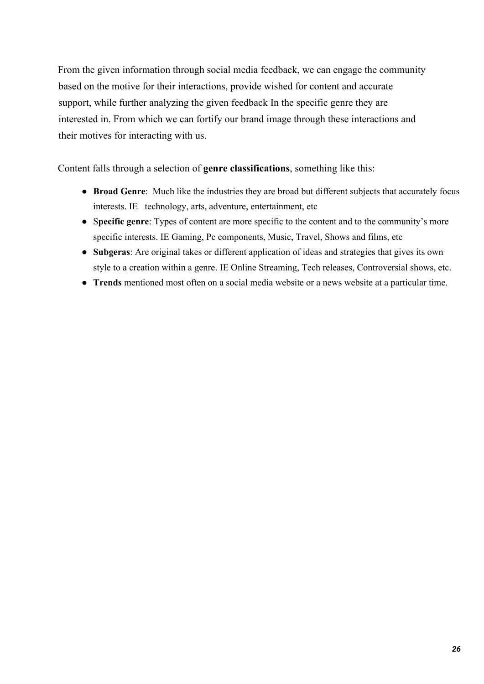From the given information through social media feedback, we can engage the community based on the motive for their interactions, provide wished for content and accurate support, while further analyzing the given feedback In the specific genre they are interested in. From which we can fortify our brand image through these interactions and their motives for interacting with us.

Content falls through a selection of **genre classifications**, something like this:

- **Broad Genre**: Much like the industries they are broad but different subjects that accurately focus interests. IE technology, arts, adventure, entertainment, etc
- S**pecific genre**: Types of content are more specific to the content and to the community's more specific interests. IE Gaming, Pc components, Music, Travel, Shows and films, etc
- **Subgeras**: Are original takes or different application of ideas and strategies that gives its own style to a creation within a genre. IE Online Streaming, Tech releases, Controversial shows, etc.
- **Trends** mentioned most often on a social media website or a news website at a particular time.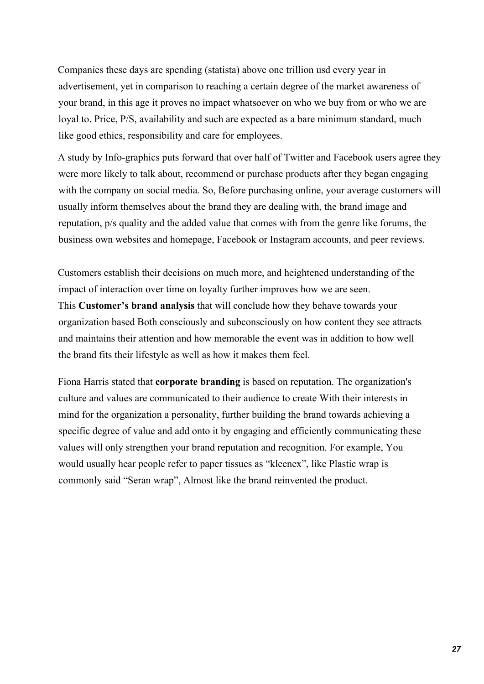Companies these days are spending (statista) above one trillion usd every year in advertisement, yet in comparison to reaching a certain degree of the market awareness of your brand, in this age it proves no impact whatsoever on who we buy from or who we are loyal to. Price, P/S, availability and such are expected as a bare minimum standard, much like good ethics, responsibility and care for employees.

A study by Info-graphics puts forward that over half of Twitter and Facebook users agree they were more likely to talk about, recommend or purchase products after they began engaging with the company on social media. So, Before purchasing online, your average customers will usually inform themselves about the brand they are dealing with, the brand image and reputation, p/s quality and the added value that comes with from the genre like forums, the business own websites and homepage, Facebook or Instagram accounts, and peer reviews.

Customers establish their decisions on much more, and heightened understanding of the impact of interaction over time on loyalty further improves how we are seen. This **Customer's brand analysis** that will conclude how they behave towards your organization based Both consciously and subconsciously on how content they see attracts and maintains their attention and how memorable the event was in addition to how well the brand fits their lifestyle as well as how it makes them feel.

Fiona Harris stated that **corporate branding** is based on reputation. The organization's culture and values are communicated to their audience to create With their interests in mind for the organization a personality, further building the brand towards achieving a specific degree of value and add onto it by engaging and efficiently communicating these values will only strengthen your brand reputation and recognition. For example, You would usually hear people refer to paper tissues as "kleenex", like Plastic wrap is commonly said "Seran wrap", Almost like the brand reinvented the product.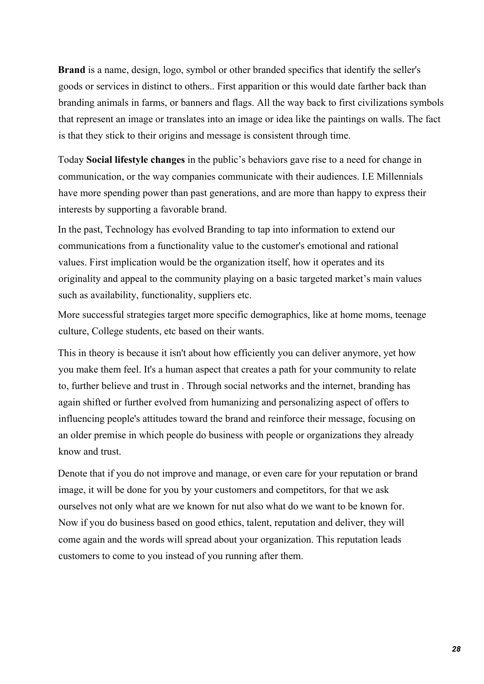**Brand** is a name, design, logo, symbol or other branded specifics that identify the seller's goods or services in distinct to others.. First apparition or this would date farther back than branding animals in farms, or banners and flags. All the way back to first civilizations symbols that represent an image or translates into an image or idea like the paintings on walls. The fact is that they stick to their origins and message is consistent through time.

Today **Social lifestyle changes** in the public's behaviors gave rise to a need for change in communication, or the way companies communicate with their audiences. I.E Millennials have more spending power than past generations, and are more than happy to express their interests by supporting a favorable brand.

In the past, Technology has evolved Branding to tap into information to extend our communications from a functionality value to the customer's emotional and rational values. First implication would be the organization itself, how it operates and its originality and appeal to the community playing on a basic targeted market's main values such as availability, functionality, suppliers etc.

More successful strategies target more specific demographics, like at home moms, teenage culture, College students, etc based on their wants.

This in theory is because it isn't about how efficiently you can deliver anymore, yet how you make them feel. It's a human aspect that creates a path for your community to relate to, further believe and trust in . Through social networks and the internet, branding has again shifted or further evolved from humanizing and personalizing aspect of offers to influencing people's attitudes toward the brand and reinforce their message, focusing on an older premise in which people do business with people or organizations they already know and trust.

Denote that if you do not improve and manage, or even care for your reputation or brand image, it will be done for you by your customers and competitors, for that we ask ourselves not only what are we known for nut also what do we want to be known for. Now if you do business based on good ethics, talent, reputation and deliver, they will come again and the words will spread about your organization. This reputation leads customers to come to you instead of you running after them.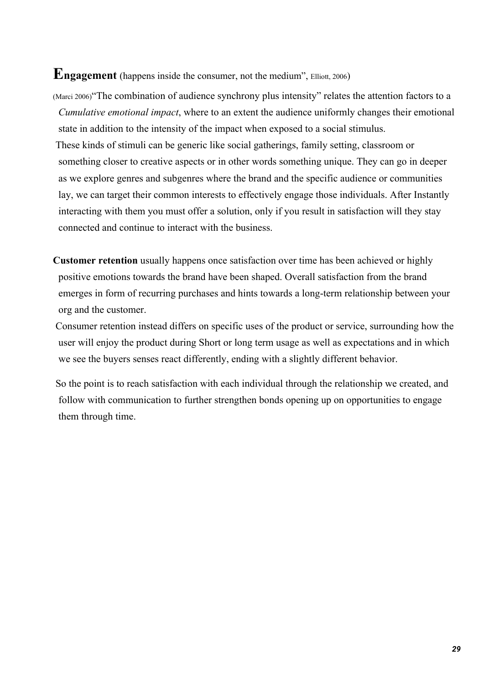#### **Engagement** (happens inside the consumer, not the medium", Elliott, 2006)

(Marci 2006)"The combination of audience synchrony plus intensity" relates the attention factors to a *Cumulative emotional impact*, where to an extent the audience uniformly changes their emotional state in addition to the intensity of the impact when exposed to a social stimulus. These kinds of stimuli can be generic like social gatherings, family setting, classroom or something closer to creative aspects or in other words something unique. They can go in deeper as we explore genres and subgenres where the brand and the specific audience or communities lay, we can target their common interests to effectively engage those individuals. After Instantly interacting with them you must offer a solution, only if you result in satisfaction will they stay connected and continue to interact with the business.

**Customer retention** usually happens once satisfaction over time has been achieved or highly positive emotions towards the brand have been shaped. Overall satisfaction from the brand emerges in form of recurring purchases and hints towards a long-term relationship between your org and the customer.

Consumer retention instead differs on specific uses of the product or service, surrounding how the user will enjoy the product during Short or long term usage as well as expectations and in which we see the buyers senses react differently, ending with a slightly different behavior.

So the point is to reach satisfaction with each individual through the relationship we created, and follow with communication to further strengthen bonds opening up on opportunities to engage them through time.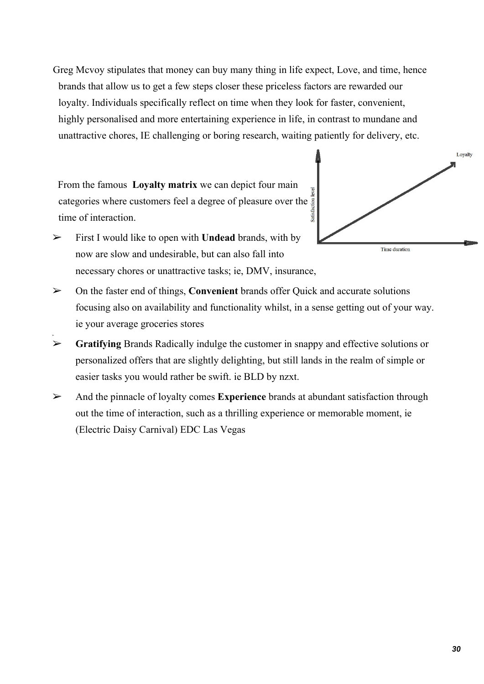Greg Mcvoy stipulates that money can buy many thing in life expect, Love, and time, hence brands that allow us to get a few steps closer these priceless factors are rewarded our loyalty. Individuals specifically reflect on time when they look for faster, convenient, highly personalised and more entertaining experience in life, in contrast to mundane and unattractive chores, IE challenging or boring research, waiting patiently for delivery, etc.

From the famous **Loyalty matrix** we can depict four main Examples  $\frac{1}{2}$  categories where customers feel a degree of pleasure over the  $\frac{2}{3}$  time of interaction. time of interaction.



➢ First I would like to open with **Undead** brands, with by now are slow and undesirable, but can also fall into necessary chores or unattractive tasks; ie, DMV, insurance,

➢

- ➢ On the faster end of things, **Convenient** brands offer Quick and accurate solutions focusing also on availability and functionality whilst, in a sense getting out of your way. ie your average groceries stores
- ➢ **Gratifying** Brands Radically indulge the customer in snappy and effective solutions or personalized offers that are slightly delighting, but still lands in the realm of simple or easier tasks you would rather be swift. ie BLD by nzxt.
- ➢ And the pinnacle of loyalty comes **Experience** brands at abundant satisfaction through out the time of interaction, such as a thrilling experience or memorable moment, ie (Electric Daisy Carnival) EDC Las Vegas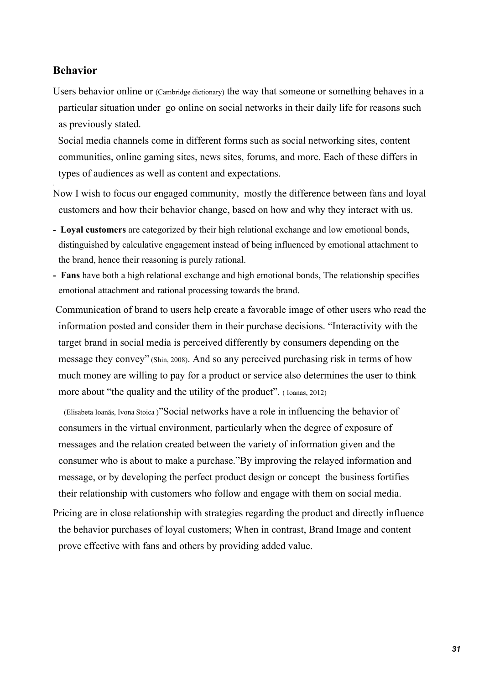#### **Behavior**

Users behavior online or (Cambridge dictionary) the way that someone or something behaves in a particular situation under go online on social networks in their daily life for reasons such as previously stated.

Social media channels come in different forms such as social networking sites, content communities, online gaming sites, news sites, forums, and more. Each of these differs in types of audiences as well as content and expectations.

- Now I wish to focus our engaged community, mostly the difference between fans and loyal customers and how their behavior change, based on how and why they interact with us.
- **- Loyal customers** are categorized by their high relational exchange and low emotional bonds, distinguished by calculative engagement instead of being influenced by emotional attachment to the brand, hence their reasoning is purely rational.
- **- Fans** have both a high relational exchange and high emotional bonds, The relationship specifies emotional attachment and rational processing towards the brand.

Communication of brand to users help create a favorable image of other users who read the information posted and consider them in their purchase decisions. "Interactivity with the target brand in social media is perceived differently by consumers depending on the message they convey" (Shin, 2008). And so any perceived purchasing risk in terms of how much money are willing to pay for a product or service also determines the user to think more about "the quality and the utility of the product". ( Ioanas, 2012)

 (Elisabeta Ioanăs, Ivona Stoica )"Social networks have a role in influencing the behavior of consumers in the virtual environment, particularly when the degree of exposure of messages and the relation created between the variety of information given and the consumer who is about to make a purchase."By improving the relayed information and message, or by developing the perfect product design or concept the business fortifies their relationship with customers who follow and engage with them on social media.

Pricing are in close relationship with strategies regarding the product and directly influence the behavior purchases of loyal customers; When in contrast, Brand Image and content prove effective with fans and others by providing added value.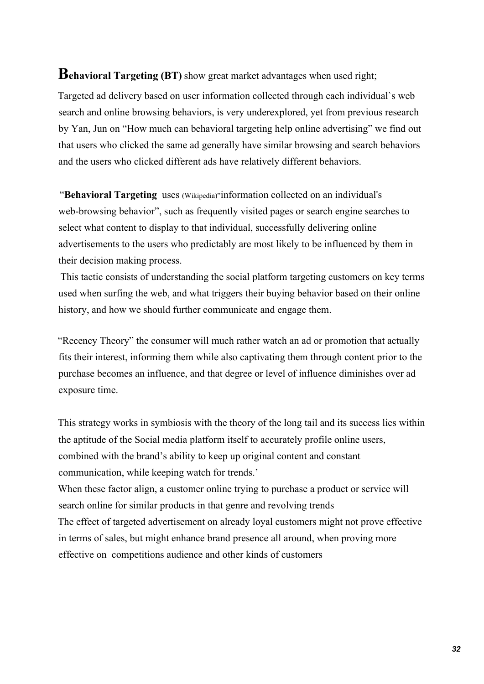#### **Behavioral Targeting (BT)** show great market advantages when used right;

Targeted ad delivery based on user information collected through each individual`s web search and online browsing behaviors, is very underexplored, yet from previous research by Yan, Jun on "How much can behavioral targeting help online advertising" we find out that users who clicked the same ad generally have similar browsing and search behaviors and the users who clicked different ads have relatively different behaviors.

"**Behavioral Targeting** uses (Wikipedia)"information collected on an individual's web-browsing behavior", such as frequently visited pages or search engine searches to select what content to display to that individual, successfully delivering online advertisements to the users who predictably are most likely to be influenced by them in their decision making process.

This tactic consists of understanding the social platform targeting customers on key terms used when surfing the web, and what triggers their buying behavior based on their online history, and how we should further communicate and engage them.

"Recency Theory" the consumer will much rather watch an ad or promotion that actually fits their interest, informing them while also captivating them through content prior to the purchase becomes an influence, and that degree or level of influence diminishes over ad exposure time.

This strategy works in symbiosis with the theory of the long tail and its success lies within the aptitude of the Social media platform itself to accurately profile online users, combined with the brand's ability to keep up original content and constant communication, while keeping watch for trends.'

When these factor align, a customer online trying to purchase a product or service will search online for similar products in that genre and revolving trends

The effect of targeted advertisement on already loyal customers might not prove effective in terms of sales, but might enhance brand presence all around, when proving more effective on competitions audience and other kinds of customers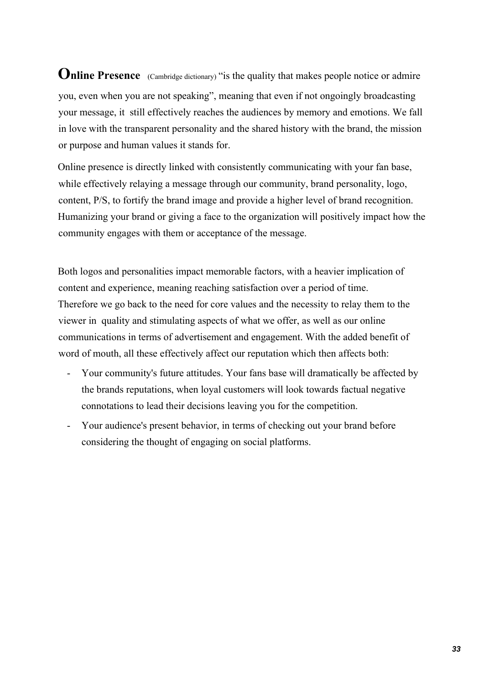**Online Presence** (Cambridge dictionary) "is the quality that makes people notice or admire you, even when you are not speaking", meaning that even if not ongoingly broadcasting your message, it still effectively reaches the audiences by memory and emotions. We fall in love with the transparent personality and the shared history with the brand, the mission or purpose and human values it stands for.

Online presence is directly linked with consistently communicating with your fan base, while effectively relaying a message through our community, brand personality, logo, content, P/S, to fortify the brand image and provide a higher level of brand recognition. Humanizing your brand or giving a face to the organization will positively impact how the community engages with them or acceptance of the message.

Both logos and personalities impact memorable factors, with a heavier implication of content and experience, meaning reaching satisfaction over a period of time. Therefore we go back to the need for core values and the necessity to relay them to the viewer in quality and stimulating aspects of what we offer, as well as our online communications in terms of advertisement and engagement. With the added benefit of word of mouth, all these effectively affect our reputation which then affects both:

- Your community's future attitudes. Your fans base will dramatically be affected by the brands reputations, when loyal customers will look towards factual negative connotations to lead their decisions leaving you for the competition.
- Your audience's present behavior, in terms of checking out your brand before considering the thought of engaging on social platforms.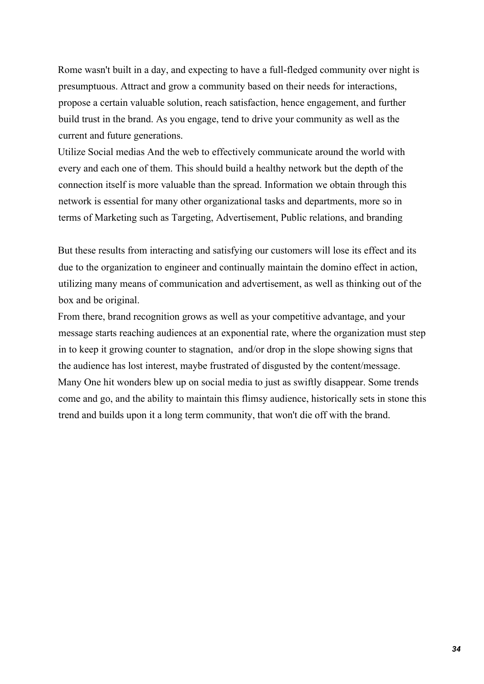Rome wasn't built in a day, and expecting to have a full-fledged community over night is presumptuous. Attract and grow a community based on their needs for interactions, propose a certain valuable solution, reach satisfaction, hence engagement, and further build trust in the brand. As you engage, tend to drive your community as well as the current and future generations.

Utilize Social medias And the web to effectively communicate around the world with every and each one of them. This should build a healthy network but the depth of the connection itself is more valuable than the spread. Information we obtain through this network is essential for many other organizational tasks and departments, more so in terms of Marketing such as Targeting, Advertisement, Public relations, and branding

But these results from interacting and satisfying our customers will lose its effect and its due to the organization to engineer and continually maintain the domino effect in action, utilizing many means of communication and advertisement, as well as thinking out of the box and be original.

From there, brand recognition grows as well as your competitive advantage, and your message starts reaching audiences at an exponential rate, where the organization must step in to keep it growing counter to stagnation, and/or drop in the slope showing signs that the audience has lost interest, maybe frustrated of disgusted by the content/message. Many One hit wonders blew up on social media to just as swiftly disappear. Some trends come and go, and the ability to maintain this flimsy audience, historically sets in stone this trend and builds upon it a long term community, that won't die off with the brand.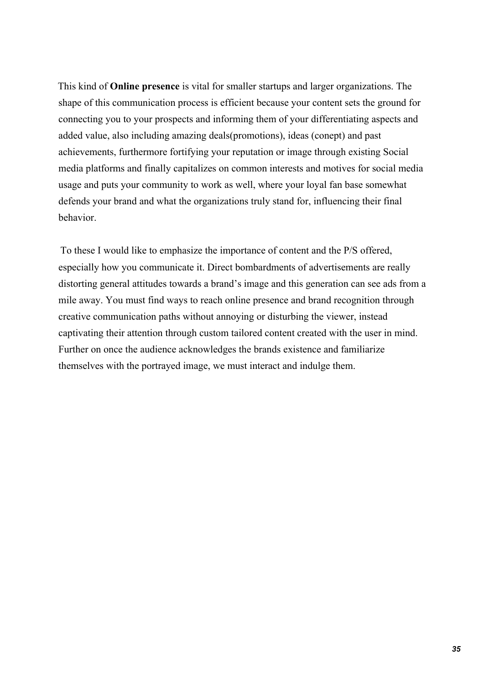This kind of **Online presence** is vital for smaller startups and larger organizations. The shape of this communication process is efficient because your content sets the ground for connecting you to your prospects and informing them of your differentiating aspects and added value, also including amazing deals(promotions), ideas (conept) and past achievements, furthermore fortifying your reputation or image through existing Social media platforms and finally capitalizes on common interests and motives for social media usage and puts your community to work as well, where your loyal fan base somewhat defends your brand and what the organizations truly stand for, influencing their final behavior.

To these I would like to emphasize the importance of content and the P/S offered, especially how you communicate it. Direct bombardments of advertisements are really distorting general attitudes towards a brand's image and this generation can see ads from a mile away. You must find ways to reach online presence and brand recognition through creative communication paths without annoying or disturbing the viewer, instead captivating their attention through custom tailored content created with the user in mind. Further on once the audience acknowledges the brands existence and familiarize themselves with the portrayed image, we must interact and indulge them.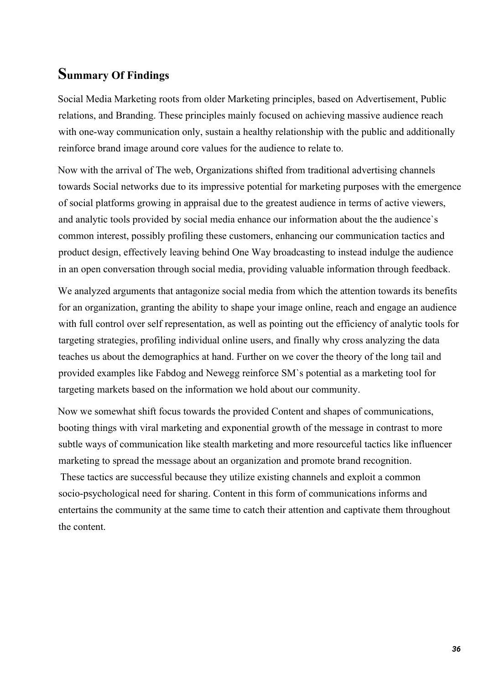### **Summary Of Findings**

Social Media Marketing roots from older Marketing principles, based on Advertisement, Public relations, and Branding. These principles mainly focused on achieving massive audience reach with one-way communication only, sustain a healthy relationship with the public and additionally reinforce brand image around core values for the audience to relate to.

Now with the arrival of The web, Organizations shifted from traditional advertising channels towards Social networks due to its impressive potential for marketing purposes with the emergence of social platforms growing in appraisal due to the greatest audience in terms of active viewers, and analytic tools provided by social media enhance our information about the the audience`s common interest, possibly profiling these customers, enhancing our communication tactics and product design, effectively leaving behind One Way broadcasting to instead indulge the audience in an open conversation through social media, providing valuable information through feedback.

We analyzed arguments that antagonize social media from which the attention towards its benefits for an organization, granting the ability to shape your image online, reach and engage an audience with full control over self representation, as well as pointing out the efficiency of analytic tools for targeting strategies, profiling individual online users, and finally why cross analyzing the data teaches us about the demographics at hand. Further on we cover the theory of the long tail and provided examples like Fabdog and Newegg reinforce SM`s potential as a marketing tool for targeting markets based on the information we hold about our community.

Now we somewhat shift focus towards the provided Content and shapes of communications, booting things with viral marketing and exponential growth of the message in contrast to more subtle ways of communication like stealth marketing and more resourceful tactics like influencer marketing to spread the message about an organization and promote brand recognition. These tactics are successful because they utilize existing channels and exploit a common socio-psychological need for sharing. Content in this form of communications informs and entertains the community at the same time to catch their attention and captivate them throughout the content.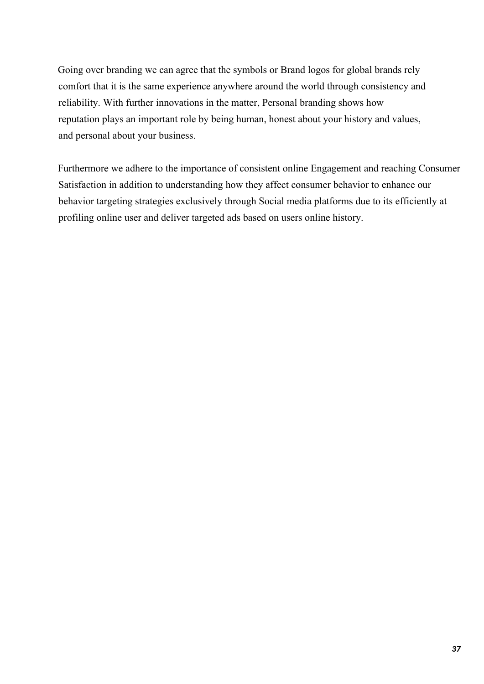Going over branding we can agree that the symbols or Brand logos for global brands rely comfort that it is the same experience anywhere around the world through consistency and reliability. With further innovations in the matter, Personal branding shows how reputation plays an important role by being human, honest about your history and values, and personal about your business.

Furthermore we adhere to the importance of consistent online Engagement and reaching Consumer Satisfaction in addition to understanding how they affect consumer behavior to enhance our behavior targeting strategies exclusively through Social media platforms due to its efficiently at profiling online user and deliver targeted ads based on users online history.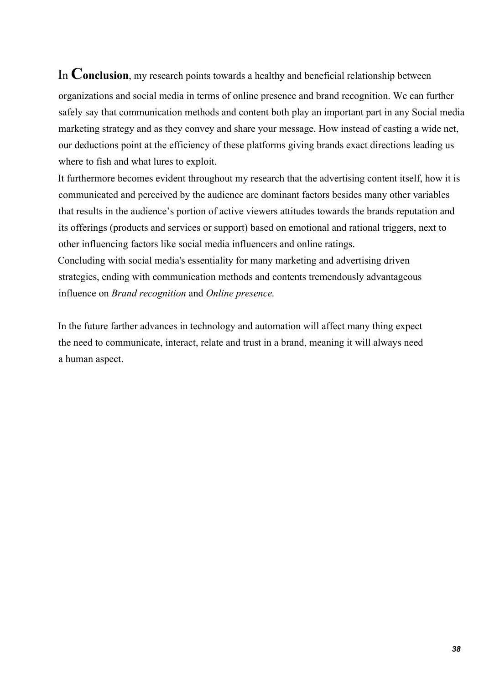# I<sup>n</sup> **Conclusion**, my research points towards <sup>a</sup> healthy and beneficial relationship between organizations and social media in terms of online presence and brand recognition. We can further safely say that communication methods and content both play an important part in any Social media marketing strategy and as they convey and share your message. How instead of casting a wide net, our deductions point at the efficiency of these platforms giving brands exact directions leading us where to fish and what lures to exploit.

It furthermore becomes evident throughout my research that the advertising content itself, how it is communicated and perceived by the audience are dominant factors besides many other variables that results in the audience's portion of active viewers attitudes towards the brands reputation and its offerings (products and services or support) based on emotional and rational triggers, next to other influencing factors like social media influencers and online ratings.

Concluding with social media's essentiality for many marketing and advertising driven strategies, ending with communication methods and contents tremendously advantageous influence on *Brand recognition* and *Online presence.*

In the future farther advances in technology and automation will affect many thing expect the need to communicate, interact, relate and trust in a brand, meaning it will always need a human aspect.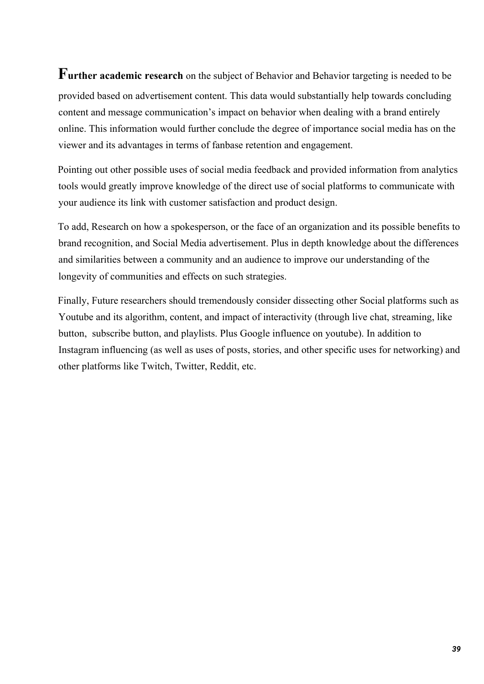**Further academic research** <sup>o</sup><sup>n</sup> the subject of Behavior and Behavior targeting is needed to be provided based on advertisement content. This data would substantially help towards concluding content and message communication's impact on behavior when dealing with a brand entirely online. This information would further conclude the degree of importance social media has on the viewer and its advantages in terms of fanbase retention and engagement.

Pointing out other possible uses of social media feedback and provided information from analytics tools would greatly improve knowledge of the direct use of social platforms to communicate with your audience its link with customer satisfaction and product design.

To add, Research on how a spokesperson, or the face of an organization and its possible benefits to brand recognition, and Social Media advertisement. Plus in depth knowledge about the differences and similarities between a community and an audience to improve our understanding of the longevity of communities and effects on such strategies.

Finally, Future researchers should tremendously consider dissecting other Social platforms such as Youtube and its algorithm, content, and impact of interactivity (through live chat, streaming, like button, subscribe button, and playlists. Plus Google influence on youtube). In addition to Instagram influencing (as well as uses of posts, stories, and other specific uses for networking) and other platforms like Twitch, Twitter, Reddit, etc.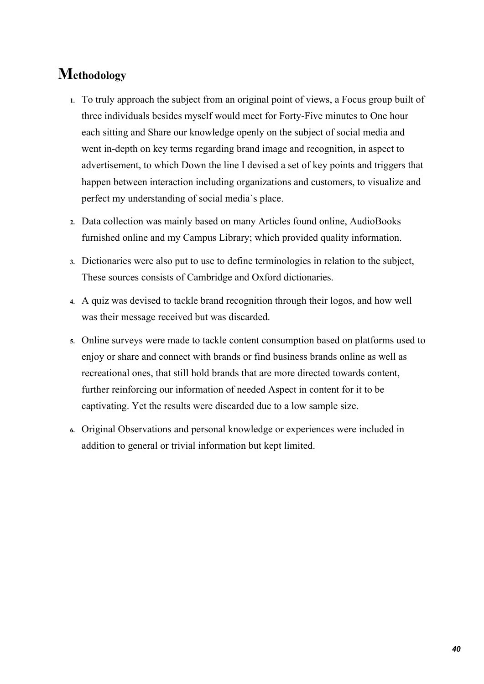### **Methodology**

- **1.** To truly approach the subject from an original point of views, a Focus group built of three individuals besides myself would meet for Forty-Five minutes to One hour each sitting and Share our knowledge openly on the subject of social media and went in-depth on key terms regarding brand image and recognition, in aspect to advertisement, to which Down the line I devised a set of key points and triggers that happen between interaction including organizations and customers, to visualize and perfect my understanding of social media`s place.
- **2.** Data collection was mainly based on many Articles found online, AudioBooks furnished online and my Campus Library; which provided quality information.
- **3.** Dictionaries were also put to use to define terminologies in relation to the subject, These sources consists of Cambridge and Oxford dictionaries.
- **4.** A quiz was devised to tackle brand recognition through their logos, and how well was their message received but was discarded.
- **5.** Online surveys were made to tackle content consumption based on platforms used to enjoy or share and connect with brands or find business brands online as well as recreational ones, that still hold brands that are more directed towards content, further reinforcing our information of needed Aspect in content for it to be captivating. Yet the results were discarded due to a low sample size.
- **6.** Original Observations and personal knowledge or experiences were included in addition to general or trivial information but kept limited.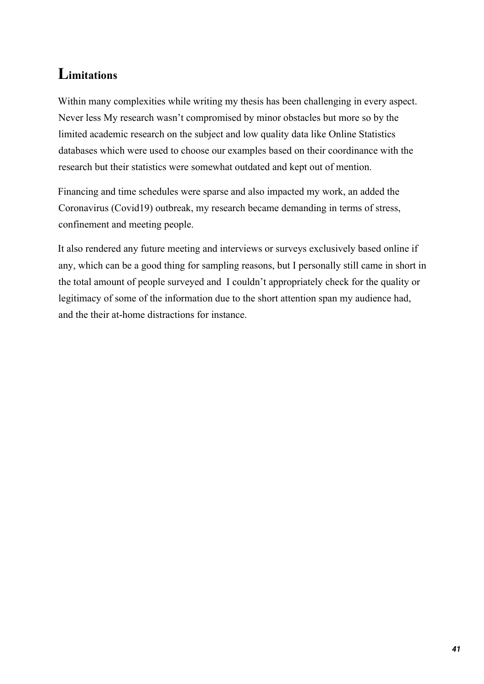# **Limitations**

Within many complexities while writing my thesis has been challenging in every aspect. Never less My research wasn't compromised by minor obstacles but more so by the limited academic research on the subject and low quality data like Online Statistics databases which were used to choose our examples based on their coordinance with the research but their statistics were somewhat outdated and kept out of mention.

Financing and time schedules were sparse and also impacted my work, an added the Coronavirus (Covid19) outbreak, my research became demanding in terms of stress, confinement and meeting people.

It also rendered any future meeting and interviews or surveys exclusively based online if any, which can be a good thing for sampling reasons, but I personally still came in short in the total amount of people surveyed and I couldn't appropriately check for the quality or legitimacy of some of the information due to the short attention span my audience had, and the their at-home distractions for instance.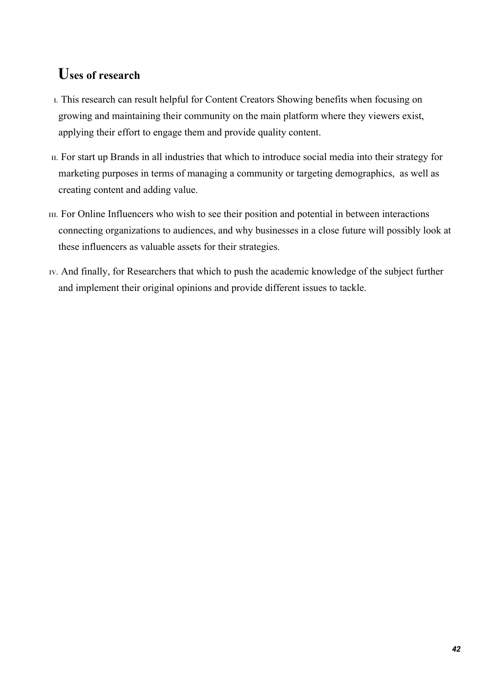# **Uses of research**

- **I.** This research can result helpful for Content Creators Showing benefits when focusing on growing and maintaining their community on the main platform where they viewers exist, applying their effort to engage them and provide quality content.
- **II.** For start up Brands in all industries that which to introduce social media into their strategy for marketing purposes in terms of managing a community or targeting demographics, as well as creating content and adding value.
- **III.** For Online Influencers who wish to see their position and potential in between interactions connecting organizations to audiences, and why businesses in a close future will possibly look at these influencers as valuable assets for their strategies.
- **IV.** And finally, for Researchers that which to push the academic knowledge of the subject further and implement their original opinions and provide different issues to tackle.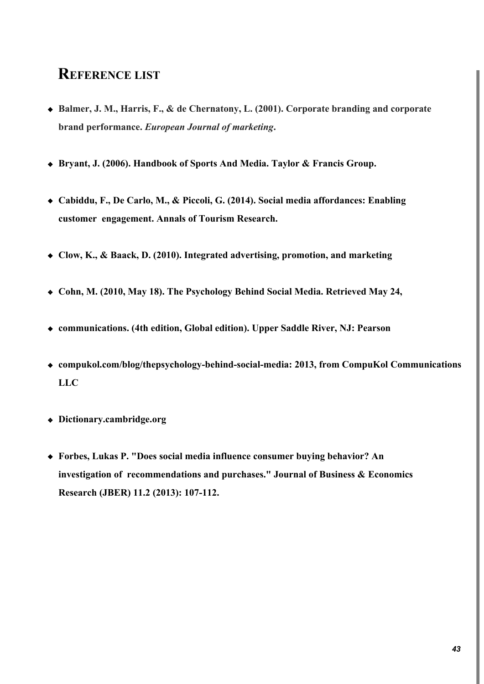### **REFERENCE LIST**

- ❖ **Balmer, J. M., Harris, F., & de Chernatony, L. (2001). Corporate branding and corporate brand performance.** *European Journal of marketing***.**
- ❖ **Bryant, J. (2006). Handbook of Sports And Media. Taylor & Francis Group.**
- ❖ **Cabiddu, F., De Carlo, M., & Piccoli, G. (2014). Social media affordances: Enabling customer engagement. Annals of Tourism Research.**
- ❖ **Clow, K., & Baack, D. (2010). Integrated advertising, promotion, and marketing**
- ❖ **Cohn, M. (2010, May 18). The Psychology Behind Social Media. Retrieved May 24,**
- ❖ **communications. (4th edition, Global edition). Upper Saddle River, NJ: Pearson**
- ❖ **compukol.com/blog/thepsychology-behind-social-media: 2013, from CompuKol Communications LLC**
- ❖ **Dictionary.cambridge.org**
- ❖ **Forbes, Lukas P. "Does social media influence consumer buying behavior? An investigation of recommendations and purchases." Journal of Business & Economics Research (JBER) 11.2 (2013): 107-112.**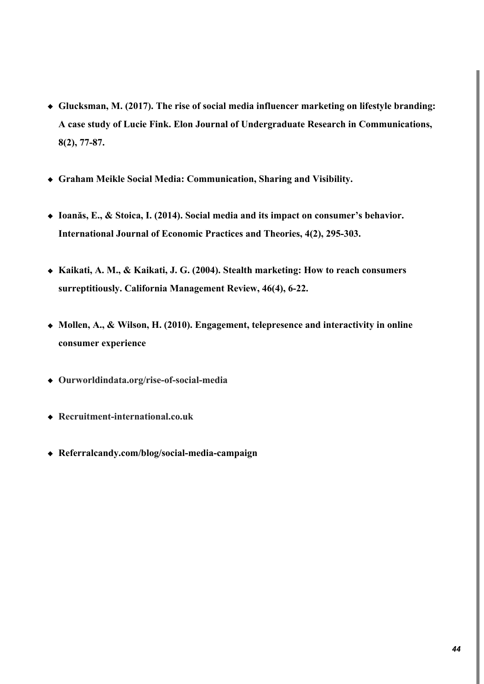- ❖ **Glucksman, M. (2017). The rise of social media influencer marketing on lifestyle branding: A case study of Lucie Fink. Elon Journal of Undergraduate Research in Communications, 8(2), 77-87.**
- ❖ **Graham Meikle Social Media: Communication, Sharing and Visibility.**
- ❖ **Ioanăs, E., & Stoica, I. (2014). Social media and its impact on consumer's behavior. International Journal of Economic Practices and Theories, 4(2), 295-303.**
- ❖ **Kaikati, A. M., & Kaikati, J. G. (2004). Stealth marketing: How to reach consumers surreptitiously. California Management Review, 46(4), 6-22.**
- ❖ **Mollen, A., & Wilson, H. (2010). Engagement, telepresence and interactivity in online consumer experience**
- ❖ **Ourworldindata.org/rise-of-social-media**
- ❖ **Recruitment-international.co.uk**
- ❖ **Referralcandy.com/blog/social-media-campaign**